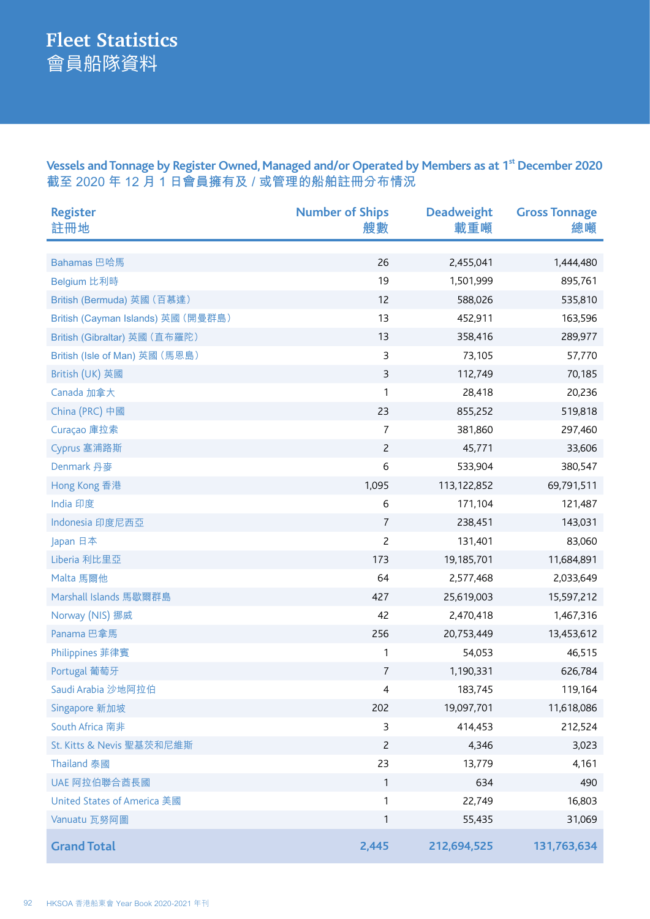Vessels and Tonnage by Register Owned, Managed and/or Operated by Members as at 1<sup>st</sup> December 2020 **截至 2020 年 12 月 1 日會員擁有及 / 或管理的船舶註冊分布情況**

| <b>Register</b><br>註冊地             | <b>Number of Ships</b><br>艘數 | <b>Deadweight</b><br>載重噸 | <b>Gross Tonnage</b><br>總噸 |
|------------------------------------|------------------------------|--------------------------|----------------------------|
|                                    |                              |                          |                            |
| Bahamas 巴哈馬                        | 26                           | 2,455,041                | 1,444,480                  |
| Belgium 比利時                        | 19                           | 1,501,999                | 895,761                    |
| British (Bermuda) 英國 (百慕達)         | 12                           | 588,026                  | 535,810                    |
| British (Cayman Islands) 英國 (開曼群島) | 13                           | 452,911                  | 163,596                    |
| British (Gibraltar) 英國 (直布羅陀)      | 13                           | 358,416                  | 289,977                    |
| British (Isle of Man) 英國 (馬恩島)     | 3                            | 73,105                   | 57,770                     |
| British (UK) 英國                    | $\mathsf 3$                  | 112,749                  | 70,185                     |
| Canada 加拿大                         | 1                            | 28,418                   | 20,236                     |
| China (PRC) 中國                     | 23                           | 855,252                  | 519,818                    |
| Curaçao 庫拉索                        | $\overline{7}$               | 381,860                  | 297,460                    |
| Cyprus 塞浦路斯                        | $\overline{c}$               | 45,771                   | 33,606                     |
| Denmark 丹麥                         | 6                            | 533,904                  | 380,547                    |
| Hong Kong 香港                       | 1,095                        | 113,122,852              | 69,791,511                 |
| India 印度                           | $\boldsymbol{6}$             | 171,104                  | 121,487                    |
| Indonesia 印度尼西亞                    | $\overline{7}$               | 238,451                  | 143,031                    |
| Japan 日本                           | $\overline{c}$               | 131,401                  | 83,060                     |
| Liberia 利比里亞                       | 173                          | 19,185,701               | 11,684,891                 |
| Malta 馬爾他                          | 64                           | 2,577,468                | 2,033,649                  |
| Marshall Islands 馬歇爾群島             | 427                          | 25,619,003               | 15,597,212                 |
| Norway (NIS) 挪威                    | 42                           | 2,470,418                | 1,467,316                  |
| Panama 巴拿馬                         | 256                          | 20,753,449               | 13,453,612                 |
| Philippines 菲律賓                    | 1                            | 54,053                   | 46,515                     |
| Portugal 葡萄牙                       | $\overline{7}$               | 1,190,331                | 626,784                    |
| Saudi Arabia 沙地阿拉伯                 | 4                            | 183,745                  | 119,164                    |
| Singapore 新加坡                      | 202                          | 19,097,701               | 11,618,086                 |
| South Africa 南非                    | 3                            | 414,453                  | 212,524                    |
| St. Kitts & Nevis 聖基茨和尼維斯          | $\overline{c}$               | 4,346                    | 3,023                      |
| <b>Thailand 泰國</b>                 | 23                           | 13,779                   | 4,161                      |
| UAE 阿拉伯聯合酋長國                       | $\mathbf{1}$                 | 634                      | 490                        |
| United States of America 美國        | 1                            | 22,749                   | 16,803                     |
| Vanuatu 瓦努阿圖                       | 1                            | 55,435                   | 31,069                     |
| <b>Grand Total</b>                 | 2,445                        | 212,694,525              | 131,763,634                |